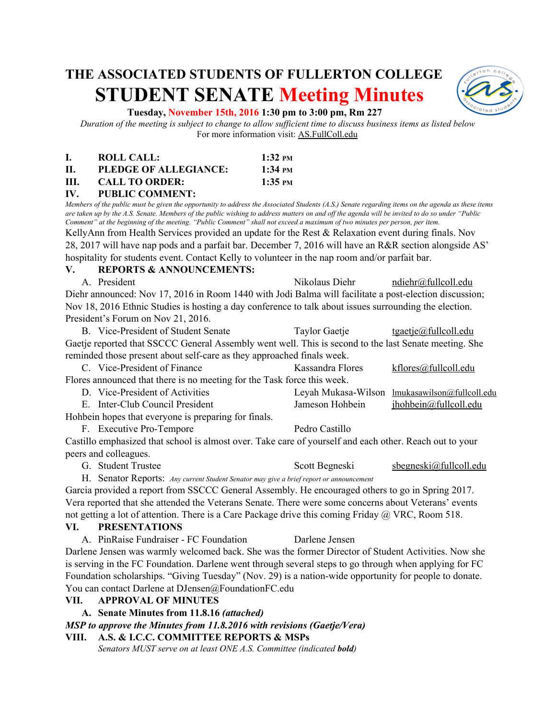# **THE ASSOCIATED STUDENTS OF FULLERTON COLLEGE STUDENT SENATE Meeting Minutes**



#### **Tuesday, November 15th, 2016 1:30 pm to 3:00 pm, Rm 227**

*Duration of the meeting is subject to change to allow sufficient time to discuss business items as listed below* For more information visit: AS.FullColl.edu

|      | ROLL CALL:            | $1:32 \text{ }$ PM          |
|------|-----------------------|-----------------------------|
| Н.   | PLEDGE OF ALLEGIANCE: | $1:34 \text{ }^{\text{PM}}$ |
| III. | <b>CALL TO ORDER:</b> | $1:35$ PM                   |

# **IV. PUBLIC COMMENT:**

*Members of the public must be given the opportunity to address the Associated Students (A.S.) Senate regarding items on the agenda as these items are taken up by the A.S. Senate. Members of the public wishing to address matters on and off the agenda will be invited to do so under "Public Comment" at the beginning of the meeting. "Public Comment" shall not exceed a maximum of two minutes per person, per item.* KellyAnn from Health Services provided an update for the Rest & Relaxation event during finals. Nov

28, 2017 will have nap pods and a parfait bar. December 7, 2016 will have an R&R section alongside AS' hospitality for students event. Contact Kelly to volunteer in the nap room and/or parfait bar.

#### **V. REPORTS & ANNOUNCEMENTS:**

A. President Nikolaus Diehr [ndiehr@fullcoll.edu](mailto:ndiehr@fullcoll.edu) Diehr announced: Nov 17, 2016 in Room 1440 with Jodi Balma will facilitate a post-election discussion; Nov 18, 2016 Ethnic Studies is hosting a day conference to talk about issues surrounding the election. President's Forum on Nov 21, 2016.

B. Vice-President of Student Senate Taylor Gaetje [tgaetje@fullcoll.edu](mailto:tgaetje@fullcoll.edu) Gaetje reported that SSCCC General Assembly went well. This is second to the last Senate meeting. She reminded those present about self-care as they approached finals week.

| in a common the common contract of the common property of the common contract of the common common contract of |                                       |                  |                                                |  |  |  |
|----------------------------------------------------------------------------------------------------------------|---------------------------------------|------------------|------------------------------------------------|--|--|--|
|                                                                                                                | C. Vice-President of Finance          | Kassandra Flores | <u>kflores@fullcoll.edu</u>                    |  |  |  |
| Flores announced that there is no meeting for the Task force this week.                                        |                                       |                  |                                                |  |  |  |
|                                                                                                                | D. Vice-President of Activities       |                  | Leyah Mukasa-Wilson lmukasawilson@fullcoll.edu |  |  |  |
|                                                                                                                | $\Gamma$ Inter Club Council Dresident | Jamasan Uahhain  | ihabhain@fullaalladu                           |  |  |  |

- E. Inter-Club Council President The Sumeson Hohbein Local <u>Inchbein (afullcoll.edu</u> Hohbein hopes that everyone is preparing for finals.
	- F. Executive Pro-Tempore Pedro Castillo

Castillo emphasized that school is almost over. Take care of yourself and each other. Reach out to your peers and colleagues.

G. Student Trustee Scott Begneski sbegneski@fullcoll.edu

H. Senator Reports: *Any current Student Senator may give a brief report or announcement*

Garcia provided a report from SSCCC General Assembly. He encouraged others to go in Spring 2017. Vera reported that she attended the Veterans Senate. There were some concerns about Veterans' events not getting a lot of attention. There is a Care Package drive this coming Friday @ VRC, Room 518.

## **VI. PRESENTATIONS**

A. PinRaise Fundraiser - FC Foundation Darlene Jensen Darlene Jensen was warmly welcomed back. She was the former Director of Student Activities. Now she is serving in the FC Foundation. Darlene went through several steps to go through when applying for FC Foundation scholarships. "Giving Tuesday" (Nov. 29) is a nation-wide opportunity for people to donate. You can contact Darlene at DJensen@FoundationFC.edu

## **VII. APPROVAL OF MINUTES**

## **A. Senate Minutes from 11.8.16** *(attached)*

*MSP to approve the Minutes from 11.8.2016 with revisions (Gaetje/Vera)*

## **VIII. A.S. & I.C.C. COMMITTEE REPORTS & MSPs**

*Senators MUST serve on at least ONE A.S. Committee (indicated bold)*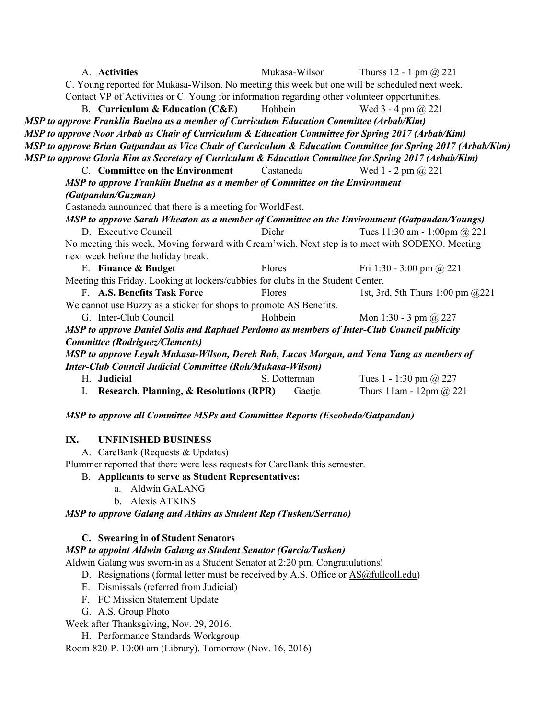| A. Activities                                                                                                | Mukasa-Wilson | Thurss 12 - 1 pm $\omega$ 221    |  |  |  |
|--------------------------------------------------------------------------------------------------------------|---------------|----------------------------------|--|--|--|
| C. Young reported for Mukasa-Wilson. No meeting this week but one will be scheduled next week.               |               |                                  |  |  |  |
| Contact VP of Activities or C. Young for information regarding other volunteer opportunities.                |               |                                  |  |  |  |
| <b>B.</b> Curriculum & Education $(CAE)$                                                                     | Hohbein       | Wed $3 - 4$ pm $(a)$ 221         |  |  |  |
| MSP to approve Franklin Buelna as a member of Curriculum Education Committee (Arbab/Kim)                     |               |                                  |  |  |  |
| MSP to approve Noor Arbab as Chair of Curriculum & Education Committee for Spring 2017 (Arbab/Kim)           |               |                                  |  |  |  |
| MSP to approve Brian Gatpandan as Vice Chair of Curriculum & Education Committee for Spring 2017 (Arbab/Kim) |               |                                  |  |  |  |
| MSP to approve Gloria Kim as Secretary of Curriculum & Education Committee for Spring 2017 (Arbab/Kim)       |               |                                  |  |  |  |
| C. Committee on the Environment                                                                              | Castaneda     | Wed 1 - 2 pm $\omega$ 221        |  |  |  |
| MSP to approve Franklin Buelna as a member of Committee on the Environment                                   |               |                                  |  |  |  |
| (Gatpandan/Guzman)                                                                                           |               |                                  |  |  |  |
| Castaneda announced that there is a meeting for WorldFest.                                                   |               |                                  |  |  |  |
| MSP to approve Sarah Wheaton as a member of Committee on the Environment (Gatpandan/Youngs)                  |               |                                  |  |  |  |
| D. Executive Council                                                                                         | Diehr         | Tues 11:30 am - 1:00pm @ 221     |  |  |  |
| No meeting this week. Moving forward with Cream' wich. Next step is to meet with SODEXO. Meeting             |               |                                  |  |  |  |
| next week before the holiday break.                                                                          |               |                                  |  |  |  |
| E. Finance & Budget                                                                                          | Flores        | Fri 1:30 - 3:00 pm @ 221         |  |  |  |
| Meeting this Friday. Looking at lockers/cubbies for clubs in the Student Center.                             |               |                                  |  |  |  |
| F. A.S. Benefits Task Force                                                                                  | Flores        | 1st, 3rd, 5th Thurs 1:00 pm @221 |  |  |  |
| We cannot use Buzzy as a sticker for shops to promote AS Benefits.                                           |               |                                  |  |  |  |
| G. Inter-Club Council                                                                                        | Hohbein       | Mon 1:30 - 3 pm $@227$           |  |  |  |
| MSP to approve Daniel Solis and Raphael Perdomo as members of Inter-Club Council publicity                   |               |                                  |  |  |  |
| Committee (Rodriguez/Clements)                                                                               |               |                                  |  |  |  |
| MSP to approve Leyah Mukasa-Wilson, Derek Roh, Lucas Morgan, and Yena Yang as members of                     |               |                                  |  |  |  |
| <b>Inter-Club Council Judicial Committee (Roh/Mukasa-Wilson)</b>                                             |               |                                  |  |  |  |
| H. Judicial                                                                                                  | S. Dotterman  | Tues 1 - 1:30 pm @ 227           |  |  |  |
| I. Research, Planning, & Resolutions (RPR)                                                                   | Gaetje        |                                  |  |  |  |

*MSP to approve all Committee MSPs and Committee Reports (Escobedo/Gatpandan)*

# **IX. UNFINISHED BUSINESS**

A. CareBank (Requests & Updates)

Plummer reported that there were less requests for CareBank this semester.

- B. **Applicants to serve as Student Representatives:**
	- a. Aldwin GALANG
		- b. Alexis ATKINS

# *MSP to approve Galang and Atkins as Student Rep (Tusken/Serrano)*

# **C. Swearing in of Student Senators**

# *MSP to appoint Aldwin Galang as Student Senator (Garcia/Tusken)*

Aldwin Galang was sworn-in as a Student Senator at 2:20 pm. Congratulations!

- D. Resignations (formal letter must be received by A.S. Office or [AS@fullcoll.edu\)](mailto:AS@fullcoll.edu)
- E. Dismissals (referred from Judicial)
- F. FC Mission Statement Update
- G. A.S. Group Photo

Week after Thanksgiving, Nov. 29, 2016.

H. Performance Standards Workgroup

Room 820-P. 10:00 am (Library). Tomorrow (Nov. 16, 2016)